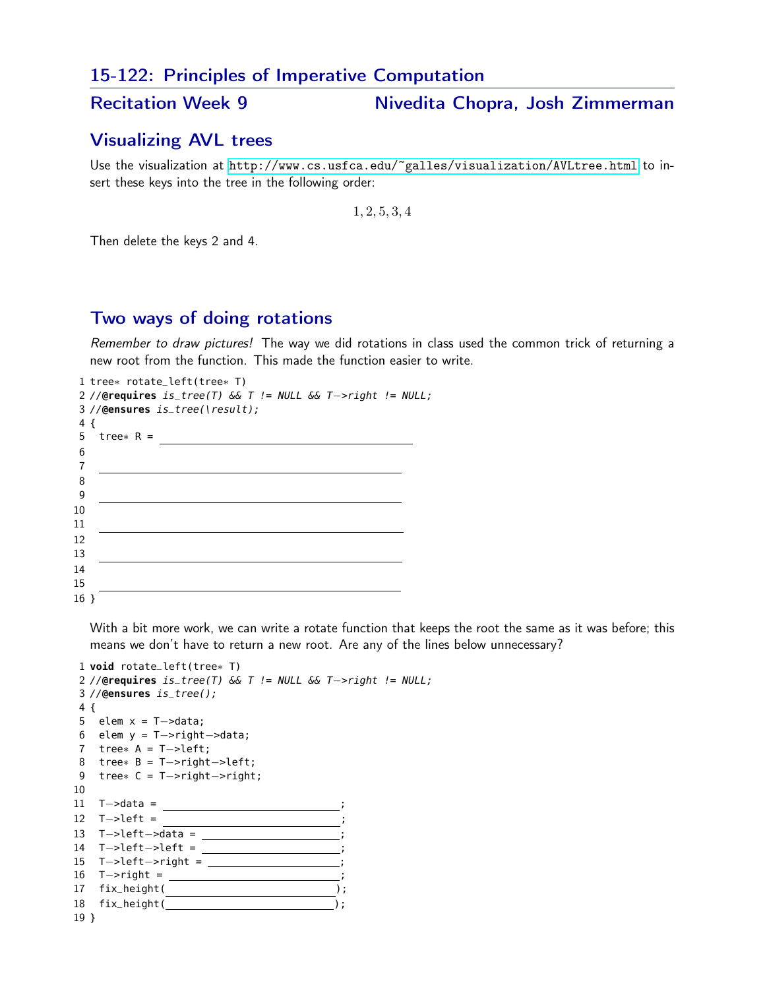## 15-122: Principles of Imperative Computation

Recitation Week 9 Nivedita Chopra, Josh Zimmerman

## Visualizing AVL trees

Use the visualization at <http://www.cs.usfca.edu/~galles/visualization/AVLtree.html> to insert these keys into the tree in the following order:

, 2, 5, 3, 4

Then delete the keys 2 and 4.

## Two ways of doing rotations

Remember to draw pictures! The way we did rotations in class used the common trick of returning a new root from the function. This made the function easier to write.

|            | 1 tree* $rotate\_left(tree*)$                                    |  |
|------------|------------------------------------------------------------------|--|
|            | 2 //@requires $is\_tree(T)$ & $T$ != NULL & $T$ ->right != NULL; |  |
|            | $3$ //@ensures is_tree(\result);                                 |  |
| $4\left\{$ |                                                                  |  |
| 5          | tree* $R =$                                                      |  |
| 6          |                                                                  |  |
| 7          |                                                                  |  |
| 8          |                                                                  |  |
| 9          |                                                                  |  |
| 10         |                                                                  |  |
| 11         |                                                                  |  |
| 12         |                                                                  |  |
| 13         |                                                                  |  |
| 14         |                                                                  |  |
| 15         |                                                                  |  |
| 16 }       |                                                                  |  |

With a bit more work, we can write a rotate function that keeps the root the same as it was before; this means we don't have to return a new root. Are any of the lines below unnecessary?

```
1 void rotate_left(tree∗ T)
2 //@requires is_tree(T) && T != NULL && T−>right != NULL;
3 //@ensures is_tree();
4 {
5 elem x = T−>data;
6 elem y = T−>right−>data;
7 tree∗ A = T−>left;
8 tree∗ B = T−>right−>left;
9 tree∗ C = T−>right−>right;
10
11 T->data = \overline{\phantom{a}}12 T->left =
13 T->left->data = intercontact
14 T->left->left = ________________;
15 T->left->right = _________________;
16 T->right = ______________________;
17 fix_height( );
18 fix_height( );
19 }
```